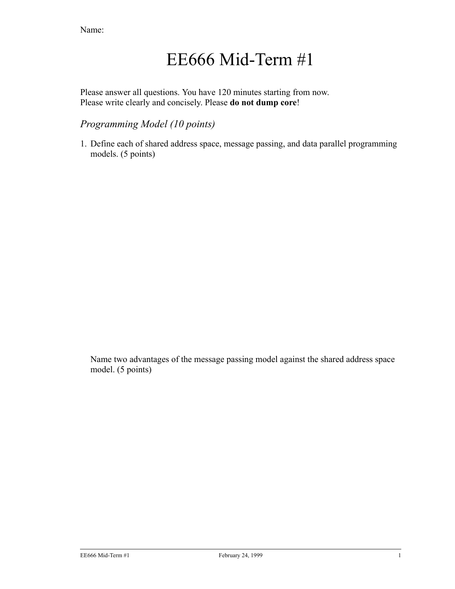# EE666 Mid-Term #1

Please answer all questions. You have 120 minutes starting from now. Please write clearly and concisely. Please **do not dump core**!

# *Programming Model (10 points)*

1. Define each of shared address space, message passing, and data parallel programming models. (5 points)

Name two advantages of the message passing model against the shared address space model. (5 points)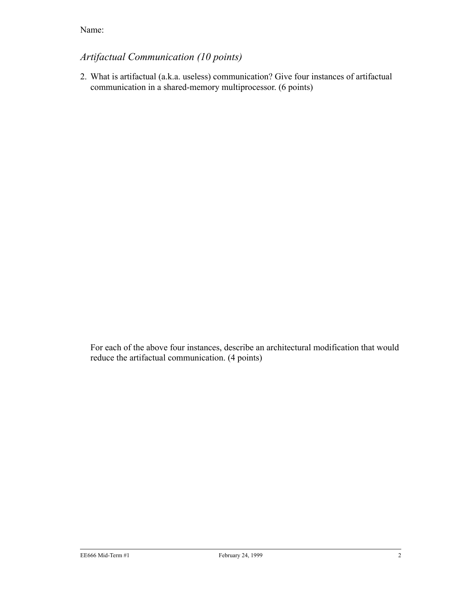# *Artifactual Communication (10 points)*

2. What is artifactual (a.k.a. useless) communication? Give four instances of artifactual communication in a shared-memory multiprocessor. (6 points)

For each of the above four instances, describe an architectural modification that would reduce the artifactual communication. (4 points)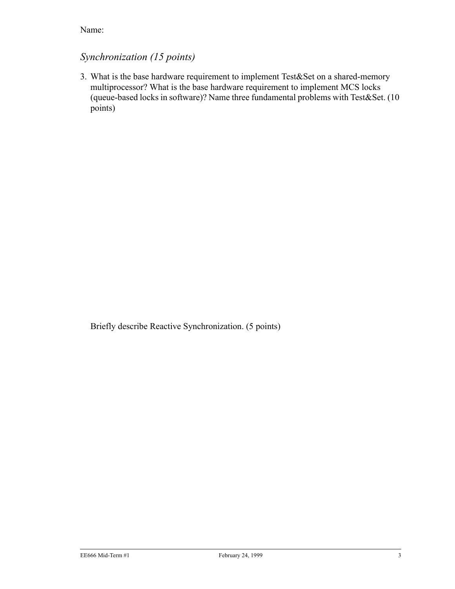#### *Synchronization (15 points)*

3. What is the base hardware requirement to implement Test&Set on a shared-memory multiprocessor? What is the base hardware requirement to implement MCS locks (queue-based locks in software)? Name three fundamental problems with Test&Set. (10 points)

Briefly describe Reactive Synchronization. (5 points)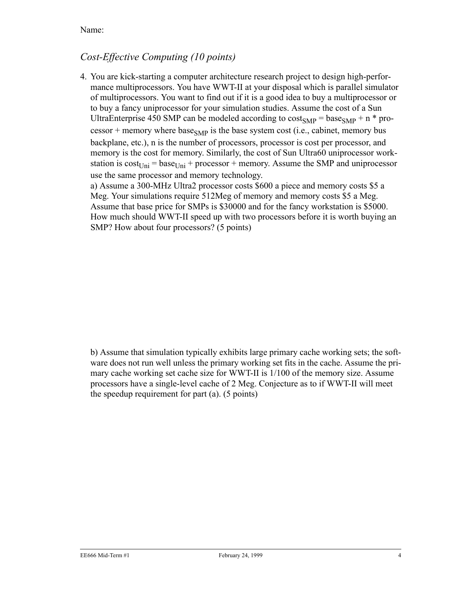#### *Cost-Effective Computing (10 points)*

4. You are kick-starting a computer architecture research project to design high-performance multiprocessors. You have WWT-II at your disposal which is parallel simulator of multiprocessors. You want to find out if it is a good idea to buy a multiprocessor or to buy a fancy uniprocessor for your simulation studies. Assume the cost of a Sun UltraEnterprise 450 SMP can be modeled according to  $cost_{SMP} = base_{SMP} + n * pro$ cessor + memory where base<sub>SMP</sub> is the base system cost (i.e., cabinet, memory bus backplane, etc.), n is the number of processors, processor is cost per processor, and memory is the cost for memory. Similarly, the cost of Sun Ultra60 uniprocessor workstation is  $cost_{Uni} = base_{Uni} + processor + memory$ . Assume the SMP and uniprocessor use the same processor and memory technology.

a) Assume a 300-MHz Ultra2 processor costs \$600 a piece and memory costs \$5 a Meg. Your simulations require 512Meg of memory and memory costs \$5 a Meg. Assume that base price for SMPs is \$30000 and for the fancy workstation is \$5000. How much should WWT-II speed up with two processors before it is worth buying an SMP? How about four processors? (5 points)

b) Assume that simulation typically exhibits large primary cache working sets; the software does not run well unless the primary working set fits in the cache. Assume the primary cache working set cache size for WWT-II is 1/100 of the memory size. Assume processors have a single-level cache of 2 Meg. Conjecture as to if WWT-II will meet the speedup requirement for part (a). (5 points)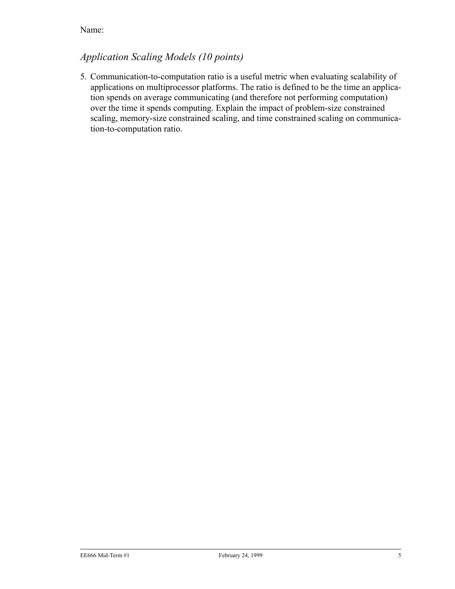# *Application Scaling Models (10 points)*

5. Communication-to-computation ratio is a useful metric when evaluating scalability of applications on multiprocessor platforms. The ratio is defined to be the time an application spends on average communicating (and therefore not performing computation) over the time it spends computing. Explain the impact of problem-size constrained scaling, memory-size constrained scaling, and time constrained scaling on communication-to-computation ratio.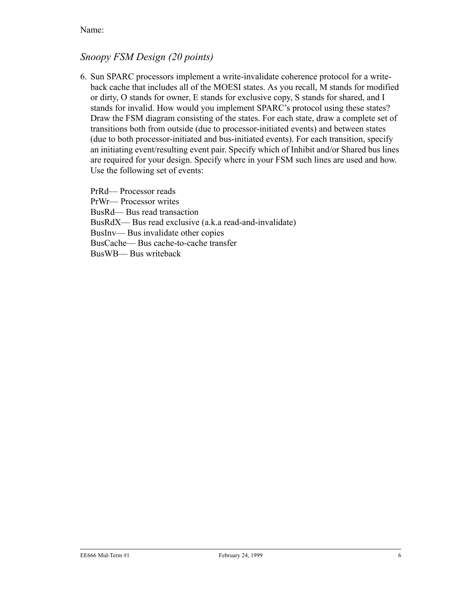#### *Snoopy FSM Design (20 points)*

6. Sun SPARC processors implement a write-invalidate coherence protocol for a writeback cache that includes all of the MOESI states. As you recall, M stands for modified or dirty, O stands for owner, E stands for exclusive copy, S stands for shared, and I stands for invalid. How would you implement SPARC's protocol using these states? Draw the FSM diagram consisting of the states. For each state, draw a complete set of transitions both from outside (due to processor-initiated events) and between states (due to both processor-initiated and bus-initiated events). For each transition, specify an initiating event/resulting event pair. Specify which of Inhibit and/or Shared bus lines are required for your design. Specify where in your FSM such lines are used and how. Use the following set of events:

PrRd— Processor reads PrWr— Processor writes BusRd— Bus read transaction BusRdX— Bus read exclusive (a.k.a read-and-invalidate) BusInv— Bus invalidate other copies BusCache— Bus cache-to-cache transfer BusWB— Bus writeback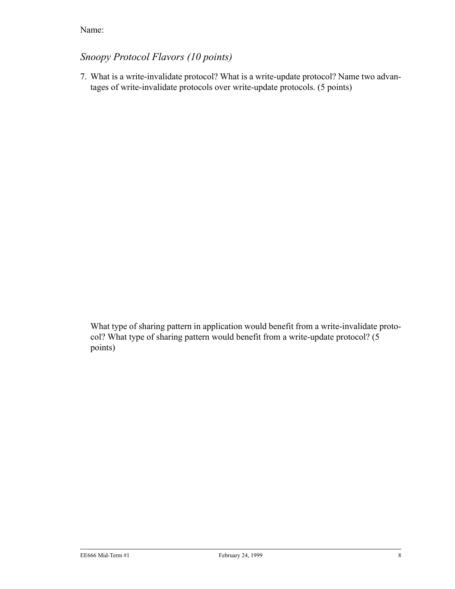# *Snoopy Protocol Flavors (10 points)*

7. What is a write-invalidate protocol? What is a write-update protocol? Name two advantages of write-invalidate protocols over write-update protocols. (5 points)

What type of sharing pattern in application would benefit from a write-invalidate protocol? What type of sharing pattern would benefit from a write-update protocol? (5 points)